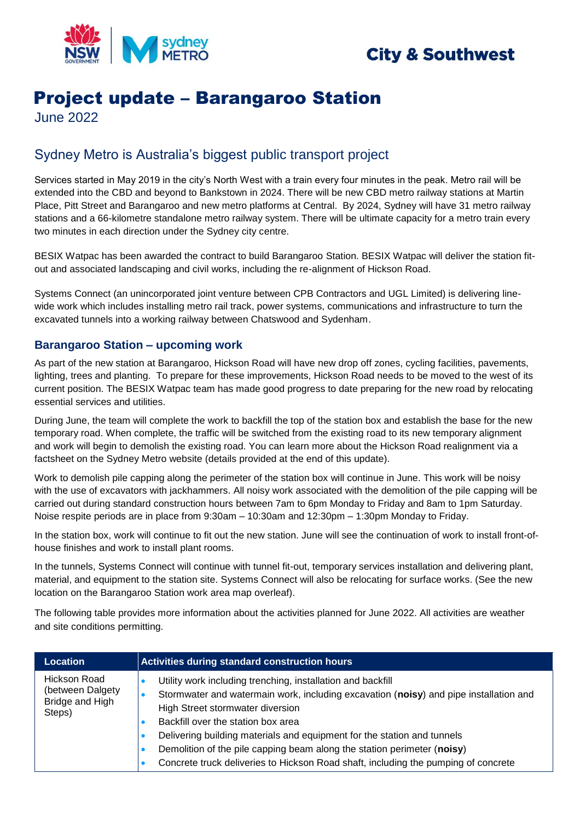

## **City & Southwest**

# Project update – Barangaroo Station

June 2022

## Sydney Metro is Australia's biggest public transport project

Services started in May 2019 in the city's North West with a train every four minutes in the peak. Metro rail will be extended into the CBD and beyond to Bankstown in 2024. There will be new CBD metro railway stations at Martin Place, Pitt Street and Barangaroo and new metro platforms at Central. By 2024, Sydney will have 31 metro railway stations and a 66-kilometre standalone metro railway system. There will be ultimate capacity for a metro train every two minutes in each direction under the Sydney city centre.

BESIX Watpac has been awarded the contract to build Barangaroo Station. BESIX Watpac will deliver the station fitout and associated landscaping and civil works, including the re-alignment of Hickson Road.

Systems Connect (an unincorporated joint venture between CPB Contractors and UGL Limited) is delivering linewide work which includes installing metro rail track, power systems, communications and infrastructure to turn the excavated tunnels into a working railway between Chatswood and Sydenham.

## **Barangaroo Station – upcoming work**

As part of the new station at Barangaroo, Hickson Road will have new drop off zones, cycling facilities, pavements, lighting, trees and planting. To prepare for these improvements, Hickson Road needs to be moved to the west of its current position. The BESIX Watpac team has made good progress to date preparing for the new road by relocating essential services and utilities.

During June, the team will complete the work to backfill the top of the station box and establish the base for the new temporary road. When complete, the traffic will be switched from the existing road to its new temporary alignment and work will begin to demolish the existing road. You can learn more about the Hickson Road realignment via a factsheet on the Sydney Metro website (details provided at the end of this update).

Work to demolish pile capping along the perimeter of the station box will continue in June. This work will be noisy with the use of excavators with jackhammers. All noisy work associated with the demolition of the pile capping will be carried out during standard construction hours between 7am to 6pm Monday to Friday and 8am to 1pm Saturday. Noise respite periods are in place from 9:30am – 10:30am and 12:30pm – 1:30pm Monday to Friday.

In the station box, work will continue to fit out the new station. June will see the continuation of work to install front-ofhouse finishes and work to install plant rooms.

In the tunnels, Systems Connect will continue with tunnel fit-out, temporary services installation and delivering plant, material, and equipment to the station site. Systems Connect will also be relocating for surface works. (See the new location on the Barangaroo Station work area map overleaf).

The following table provides more information about the activities planned for June 2022. All activities are weather and site conditions permitting.

| <b>Location</b>                                                      | Activities during standard construction hours                                                                                                                                                                                                                                                                                                                                                                                                                              |
|----------------------------------------------------------------------|----------------------------------------------------------------------------------------------------------------------------------------------------------------------------------------------------------------------------------------------------------------------------------------------------------------------------------------------------------------------------------------------------------------------------------------------------------------------------|
| <b>Hickson Road</b><br>(between Dalgety<br>Bridge and High<br>Steps) | Utility work including trenching, installation and backfill<br>Stormwater and watermain work, including excavation (noisy) and pipe installation and<br>High Street stormwater diversion<br>Backfill over the station box area<br>Delivering building materials and equipment for the station and tunnels<br>Demolition of the pile capping beam along the station perimeter (noisy)<br>Concrete truck deliveries to Hickson Road shaft, including the pumping of concrete |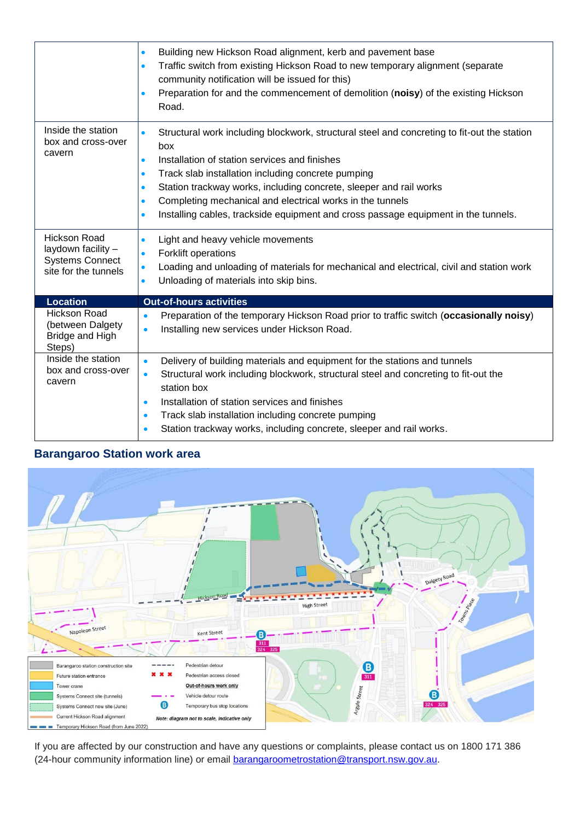|                                                                                             | Building new Hickson Road alignment, kerb and pavement base<br>$\bullet$<br>Traffic switch from existing Hickson Road to new temporary alignment (separate<br>$\bullet$<br>community notification will be issued for this)<br>Preparation for and the commencement of demolition (noisy) of the existing Hickson<br>$\bullet$<br>Road.                                                                                                                                                                           |
|---------------------------------------------------------------------------------------------|------------------------------------------------------------------------------------------------------------------------------------------------------------------------------------------------------------------------------------------------------------------------------------------------------------------------------------------------------------------------------------------------------------------------------------------------------------------------------------------------------------------|
| Inside the station<br>box and cross-over<br>cavern                                          | Structural work including blockwork, structural steel and concreting to fit-out the station<br>$\bullet$<br>box<br>Installation of station services and finishes<br>$\bullet$<br>Track slab installation including concrete pumping<br>$\bullet$<br>Station trackway works, including concrete, sleeper and rail works<br>$\bullet$<br>Completing mechanical and electrical works in the tunnels<br>$\bullet$<br>Installing cables, trackside equipment and cross passage equipment in the tunnels.<br>$\bullet$ |
| <b>Hickson Road</b><br>laydown facility -<br><b>Systems Connect</b><br>site for the tunnels | Light and heavy vehicle movements<br>$\bullet$<br>Forklift operations<br>$\bullet$<br>Loading and unloading of materials for mechanical and electrical, civil and station work<br>$\bullet$<br>Unloading of materials into skip bins.<br>$\bullet$                                                                                                                                                                                                                                                               |
| <b>Location</b>                                                                             | <b>Out-of-hours activities</b>                                                                                                                                                                                                                                                                                                                                                                                                                                                                                   |
| <b>Hickson Road</b><br>(between Dalgety<br>Bridge and High<br>Steps)                        | Preparation of the temporary Hickson Road prior to traffic switch (occasionally noisy)<br>$\bullet$<br>Installing new services under Hickson Road.<br>$\bullet$                                                                                                                                                                                                                                                                                                                                                  |
| Inside the station<br>box and cross-over<br>cavern                                          | Delivery of building materials and equipment for the stations and tunnels<br>$\bullet$<br>Structural work including blockwork, structural steel and concreting to fit-out the<br>$\bullet$<br>station box<br>Installation of station services and finishes<br>$\bullet$<br>Track slab installation including concrete pumping<br>$\bullet$                                                                                                                                                                       |

## **Barangaroo Station work area**



If you are affected by our construction and have any questions or complaints, please contact us on 1800 171 386 (24-hour community information line) or email **barangaroometrostation@transport.nsw.gov.au**.